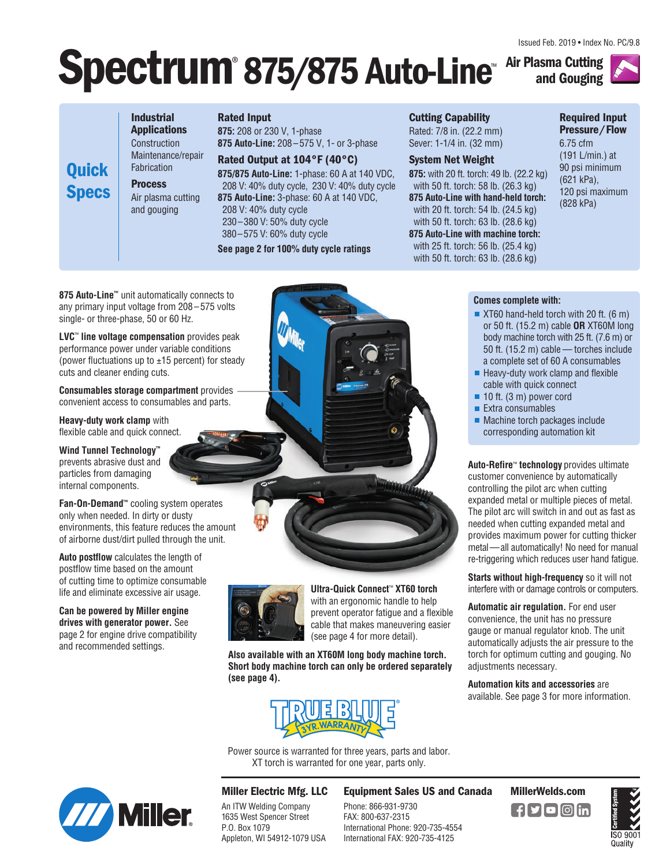Issued Feb. 2019 • Index No. PC/9.8

# **Spectrum** 875/875 Auto-Line Air Plasma Cutting ® **875/875 Auto-Line**™



**Industrial Applications** Construction Maintenance/repair Fabrication **Process** Air plasma cutting and gouging

**Quick**

**Specs**

### **Rated Input**

**875:** 208 or 230 V, 1-phase **875 Auto-Line:** 208 – 575 V, 1- or 3-phase

**Rated Output at 104°F (40°C) 875/875 Auto-Line:** 1-phase: 60 A at 140 VDC, 208 V: 40% duty cycle, 230 V: 40% duty cycle **875 Auto-Line:** 3-phase: 60 A at 140 VDC, 208 V: 40% duty cycle 230–380 V: 50% duty cycle

380–575 V: 60% duty cycle

**See page 2 for 100% duty cycle ratings**

### **Cutting Capability**

Rated: 7/8 in. (22.2 mm) Sever: 1-1/4 in. (32 mm)

### **System Net Weight**

**875:** with 20 ft. torch: 49 lb. (22.2 kg) with 50 ft. torch: 58 lb. (26.3 kg) **875 Auto-Line with hand-held torch:**  with 20 ft. torch: 54 lb. (24.5 kg) with 50 ft. torch: 63 lb. (28.6 kg) **875 Auto-Line with machine torch:**  with 25 ft. torch: 56 lb. (25.4 kg) with 50 ft. torch: 63 lb. (28.6 kg)

**Comes complete with:**

**Required Input Pressure/Flow**

6.75 cfm (191 L/min.) at 90 psi minimum (621 kPa), 120 psi maximum (828 kPa)

**875 Auto-Line™** unit automatically connects to any primary input voltage from 208 – 575 volts single- or three-phase, 50 or 60 Hz.

**LVC**™ **line voltage compensation** provides peak performance power under variable conditions (power fluctuations up to  $\pm 15$  percent) for steady cuts and cleaner ending cuts.

**Consumables storage compartment** provides convenient access to consumables and parts.

**Heavy-duty work clamp** with flexible cable and quick connect.

**Wind Tunnel Technology™** prevents abrasive dust and particles from damaging internal components.

**Fan-On-Demand™** cooling system operates only when needed. In dirty or dusty environments, this feature reduces the amount of airborne dust/dirt pulled through the unit.

**Auto postflow** calculates the length of postflow time based on the amount of cutting time to optimize consumable life and eliminate excessive air usage.

**Can be powered by Miller engine drives with generator power.** See page 2 for engine drive compatibility and recommended settings.



**Ultra-Quick Connect**™ **XT60 torch**  with an ergonomic handle to help prevent operator fatigue and a flexible cable that makes maneuvering easier (see page 4 for more detail).

**Also available with an XT60M long body machine torch. Short body machine torch can only be ordered separately (see page 4).**



Power source is warranted for three years, parts and labor. XT torch is warranted for one year, parts only.



## **Miller Electric Mfg. LLC**

An ITW Welding Company 1635 West Spencer Street P.O. Box 1079 Appleton, WI 54912-1079 USA

## **Equipment Sales US and Canada MillerWelds.com**

Phone: 866-931-9730 FAX: 800-637-2315 International Phone: 920-735-4554 International FAX: 920-735-4125





gauge or manual regulator knob. The unit automatically adjusts the air pressure to the torch for optimum cutting and gouging. No adjustments necessary.

**Automation kits and accessories** are available. See page 3 for more information.

 $\blacksquare$  Machine torch packages include corresponding automation kit **Auto-Refire**™ **technology** provides ultimate customer convenience by automatically controlling the pilot arc when cutting

■ XT60 hand-held torch with 20 ft. (6 m) or 50 ft. (15.2 m) cable **OR** XT60M long body machine torch with 25 ft. (7.6 m) or 50 ft. (15.2 m) cable — torches include a complete set of 60 A consumables  $\blacksquare$  Heavy-duty work clamp and flexible cable with quick connect ■ 10 ft. (3 m) power cord  $\blacksquare$  Extra consumables

expanded metal or multiple pieces of metal. The pilot arc will switch in and out as fast as needed when cutting expanded metal and provides maximum power for cutting thicker metal—all automatically! No need for manual re-triggering which reduces user hand fatigue.

**Starts without high-frequency** so it will not interfere with or damage controls or computers.

**Automatic air regulation.** For end user convenience, the unit has no pressure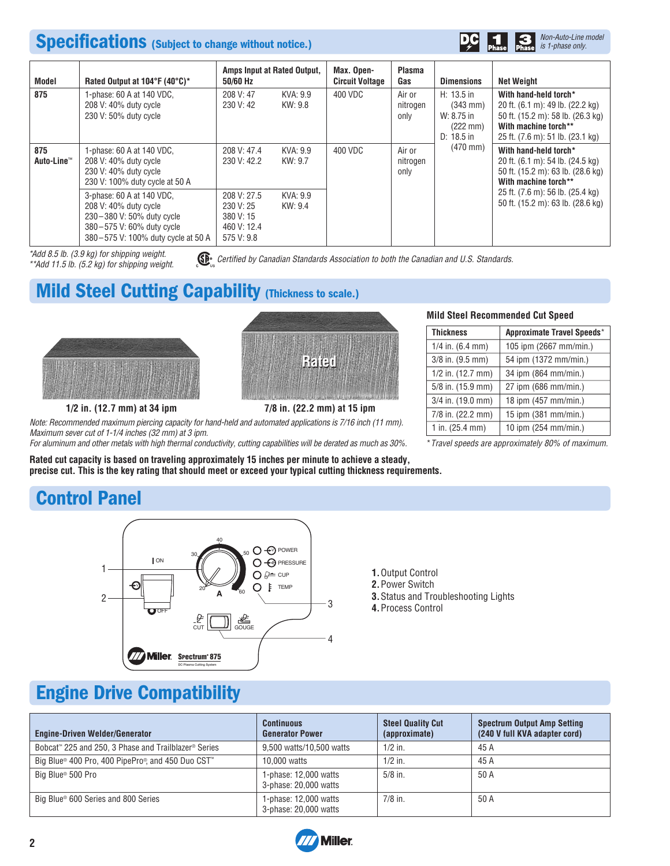## **Specifications (Subject to change without notice.)**



| Model             | Rated Output at 104°F (40°C)*                                                                                                                      | 50/60 Hz                                                           | Amps Input at Rated Output, | Max. Open-<br><b>Circuit Voltage</b> | <b>Plasma</b><br>Gas       | <b>Dimensions</b>                                                                      | <b>Net Weight</b>                                                                                                                                          |
|-------------------|----------------------------------------------------------------------------------------------------------------------------------------------------|--------------------------------------------------------------------|-----------------------------|--------------------------------------|----------------------------|----------------------------------------------------------------------------------------|------------------------------------------------------------------------------------------------------------------------------------------------------------|
| 875               | 1-phase: 60 A at 140 VDC,<br>208 V: 40% duty cycle<br>230 V: 50% duty cycle                                                                        | 208 V: 47<br>230 V: 42                                             | KVA: 9.9<br>KW: 9.8         | 400 VDC                              | Air or<br>nitrogen<br>only | $H: 13.5$ in<br>$(343 \text{ mm})$<br>W: 8.75 in<br>$(222 \text{ mm})$<br>$D: 18.5$ in | With hand-held torch*<br>20 ft. (6.1 m): 49 lb. (22.2 kg)<br>50 ft. (15.2 m): 58 lb. (26.3 kg)<br>With machine torch**<br>25 ft. (7.6 m): 51 lb. (23.1 kg) |
| 875<br>Auto-Line™ | 1-phase: 60 A at 140 VDC,<br>208 V: 40% duty cycle<br>230 V: 40% duty cycle<br>230 V: 100% duty cycle at 50 A                                      | 208 V: 47.4<br>230 V: 42.2                                         | KVA: 9.9<br>KW: 9.7         | 400 VDC                              | Air or<br>nitrogen<br>only | $(470 \, \text{mm})$                                                                   | With hand-held torch*<br>20 ft. (6.1 m): 54 lb. (24.5 kg)<br>50 ft. (15.2 m): 63 lb. (28.6 kg)<br>With machine torch**                                     |
|                   | 3-phase: 60 A at 140 VDC,<br>208 V: 40% duty cycle<br>230-380 V: 50% duty cycle<br>380-575 V: 60% duty cycle<br>380-575 V: 100% duty cycle at 50 A | 208 V: 27.5<br>230 V: 25<br>380 V: 15<br>460 V: 12.4<br>575 V: 9.8 | KVA: 9.9<br>KW: 9.4         |                                      |                            |                                                                                        | 25 ft. (7.6 m): 56 lb. (25.4 kg)<br>50 ft. (15.2 m): 63 lb. (28.6 kg)                                                                                      |

\*Add 8.5 lb. (3.9 kg) for shipping weight. \*\*Add 11.5 lb. (5.2 kg) for shipping weight.

Certified by Canadian Standards Association to both the Canadian and U.S. Standards.

# **Mild Steel Cutting Capability (Thickness to scale.)**





## **1/2 in. (12.7 mm) at 34 ipm 7/8 in. (22.2 mm) at 15 ipm**

Note: Recommended maximum piercing capacity for hand-held and automated applications is 7/16 inch (11 mm). Maximum sever cut of 1-1/4 inches (32 mm) at 3 ipm.

For aluminum and other metals with high thermal conductivity, cutting capabilities will be derated as much as 30%.

**Rated cut capacity is based on traveling approximately 15 inches per minute to achieve a steady, precise cut. This is the key rating that should meet or exceed your typical cutting thickness requirements.** 

### **Mild Steel Recommended Cut Speed**

| <b>Thickness</b>          | Approximate Travel Speeds* |  |  |
|---------------------------|----------------------------|--|--|
| $1/4$ in. (6.4 mm)        | 105 ipm (2667 mm/min.)     |  |  |
| 3/8 in. (9.5 mm)          | 54 ipm (1372 mm/min.)      |  |  |
| $1/2$ in. $(12.7$ mm)     | 34 ipm (864 mm/min.)       |  |  |
| 5/8 in. (15.9 mm)         | 27 ipm (686 mm/min.)       |  |  |
| 3/4 in. (19.0 mm)         | 18 ipm (457 mm/min.)       |  |  |
| 7/8 in. (22.2 mm)         | 15 ipm (381 mm/min.)       |  |  |
| 1 in. $(25.4 \text{ mm})$ | 10 ipm (254 mm/min.)       |  |  |

\*Travel speeds are approximately 80% of maximum.

# **Control Panel**



**1.**Output Control **2.**Power Switch

- **3.**Status and Troubleshooting Lights
- **4.**Process Control

# **Engine Drive Compatibility**

| <b>Engine-Driven Welder/Generator</b>                            | <b>Continuous</b><br><b>Generator Power</b>    | <b>Steel Quality Cut</b><br>(approximate) | <b>Spectrum Output Amp Setting</b><br>(240 V full KVA adapter cord) |
|------------------------------------------------------------------|------------------------------------------------|-------------------------------------------|---------------------------------------------------------------------|
| Bobcat <sup>™</sup> 225 and 250, 3 Phase and Trailblazer® Series | 9.500 watts/10.500 watts                       | $1/2$ in.                                 | 45 A                                                                |
| Big Blue® 400 Pro, 400 PipePro®, and 450 Duo CST™                | 10,000 watts                                   | $1/2$ in.                                 | 45 A                                                                |
| Big Blue <sup>®</sup> 500 Pro                                    | 1-phase: 12,000 watts<br>3-phase: 20,000 watts | $5/8$ in.                                 | 50 A                                                                |
| Big Blue® 600 Series and 800 Series                              | 1-phase: 12,000 watts<br>3-phase: 20,000 watts | $7/8$ in.                                 | 50 A                                                                |

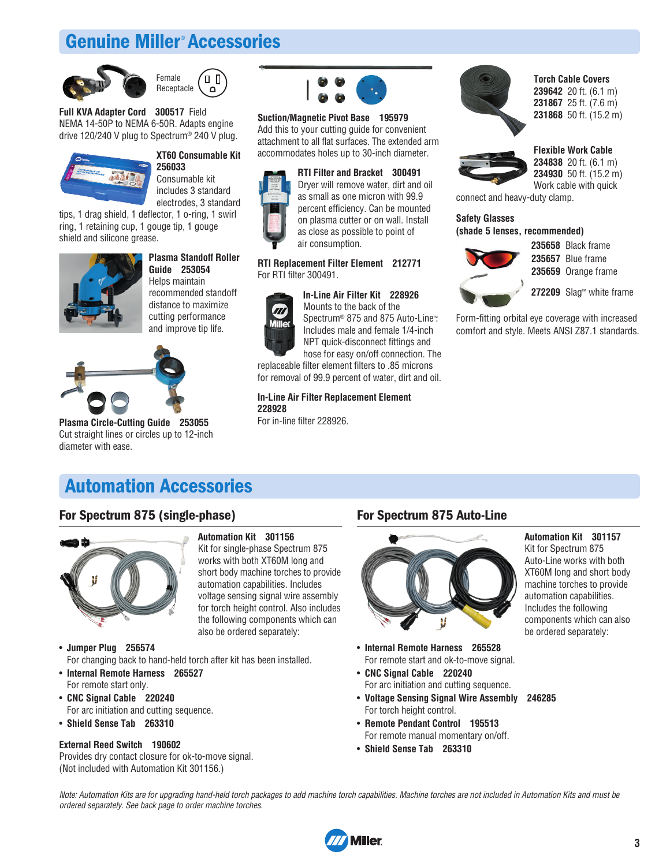# **Genuine Miller**® **Accessories**





**Full KVA Adapter Cord 300517** Field NEMA 14-50P to NEMA 6-50R. Adapts engine drive 120/240 V plug to Spectrum® 240 V plug.



## **XT60 Consumable Kit 256033**

Consumable kit includes 3 standard electrodes, 3 standard

tips, 1 drag shield, 1 deflector, 1 o-ring, 1 swirl ring, 1 retaining cup, 1 gouge tip, 1 gouge shield and silicone grease.



#### **Plasma Standoff Roller Guide 253054**

Helps maintain recom mended standoff distance to maximize cutting performance and improve tip life.



**Plasma Circle-Cutting Guide 253055** Cut straight lines or circles up to 12-inch diameter with ease.



## **Suction/Magnetic Pivot Base 195979**

Add this to your cutting guide for convenient attachment to all flat surfaces. The extended arm accommodates holes up to 30-inch diameter.



#### **RTI Replacement Filter Element 212771** For RTI filter 300491.

### **In-Line Air Filter Kit 228926**



Mounts to the back of the Spectrum® 875 and 875 Auto-Line™. Includes male and female 1/4-inch NPT quick-disconnect fittings and hose for easy on/off connection. The

replaceable filter element filters to .85 microns for removal of 99.9 percent of water, dirt and oil.

**In-Line Air Filter Replacement Element 228928**

For in-line filter 228926.



**Torch Cable Covers** 20 ft. (6.1 m) 25 ft. (7.6 m) 50 ft. (15.2 m)



**Flexible Work Cable 234838** 20 ft. (6.1 m) **234930** 50 ft. (15.2 m) Work cable with quick

connect and heavy-duty clamp.

### **Safety Glasses (shade 5 lenses, recommended)**



**235658** Black frame **235657** Blue frame **235659** Orange frame

**272209** Slag™ white frame

Form-fitting orbital eye coverage with increased comfort and style. Meets ANSI Z87.1 standards.

## **Automation Accessories**

## **For Spectrum 875 (single-phase)**



## **Automation Kit 301156**

Kit for single-phase Spectrum 875 works with both XT60M long and short body machine torches to provide automation capabilities. Includes voltage sensing signal wire assembly for torch height control. Also includes the following components which can also be ordered separately:

- **Jumper Plug 256574** For changing back to hand-held torch after kit has been installed.
- **Internal Remote Harness 265527** For remote start only.
- **CNC Signal Cable 220240** For arc initiation and cutting sequence.
- **Shield Sense Tab 263310**

### **External Reed Switch 190602**

Provides dry contact closure for ok-to-move signal. (Not included with Automation Kit 301156.)

## **For Spectrum 875 Auto-Line**



- **Internal Remote Harness 265528** For remote start and ok-to-move signal.
- **CNC Signal Cable 220240** For arc initiation and cutting sequence.
- **Voltage Sensing Signal Wire Assembly 246285** For torch height control.
- **Remote Pendant Control 195513** For remote manual momentary on/off.
- **Shield Sense Tab 263310**

Note: Automation Kits are for upgrading hand-held torch packages to add machine torch capabilities. Machine torches are not included in Automation Kits and must be ordered separately. See back page to order machine torches.



**Automation Kit 301157**

Kit for Spectrum 875 Auto-Line works with both XT60M long and short body machine torches to provide automation capabilities. Includes the following components which can also be ordered separately: